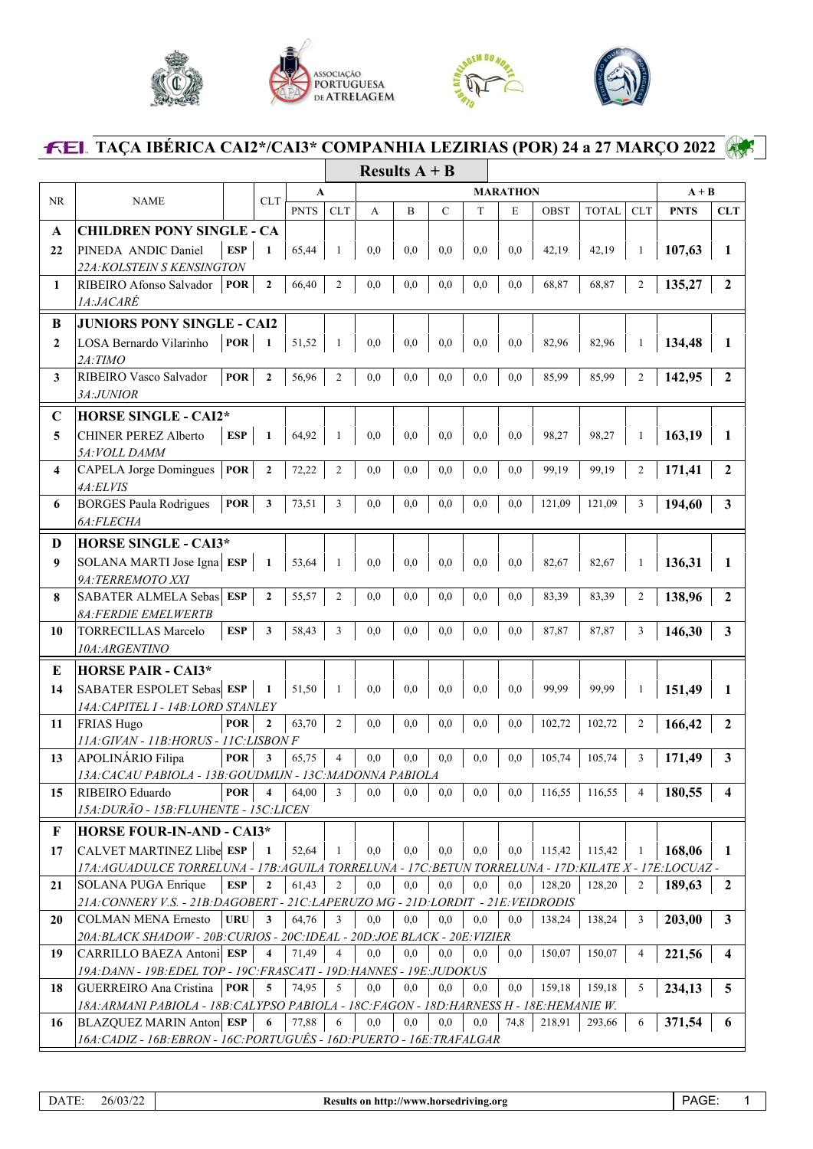





## **TAÇA IBÉRICA CAI2\*/CAI3\* COMPANHIA LEZIRIAS (POR) 24 a 27 MARÇO 2022**

|              |                                                                                                          |                            |             |                | Results $A + B$ |     |              |     |      |             |              |                |             |                |
|--------------|----------------------------------------------------------------------------------------------------------|----------------------------|-------------|----------------|-----------------|-----|--------------|-----|------|-------------|--------------|----------------|-------------|----------------|
|              |                                                                                                          |                            |             | A              | <b>MARATHON</b> |     |              |     |      |             |              | $A + B$        |             |                |
| <b>NR</b>    | <b>NAME</b>                                                                                              | <b>CLT</b>                 | <b>PNTS</b> | CLT            | A               | B   | $\mathsf{C}$ | T   | E    | <b>OBST</b> | <b>TOTAL</b> | <b>CLT</b>     | <b>PNTS</b> | CLT            |
| A            | <b>CHILDREN PONY SINGLE - CA</b>                                                                         |                            |             |                |                 |     |              |     |      |             |              |                |             |                |
| 22           | PINEDA ANDIC Daniel                                                                                      | <b>ESP</b><br>1            | 65,44       | -1             | 0,0             | 0,0 | 0,0          | 0,0 | 0,0  | 42,19       | 42,19        | 1              | 107,63      | 1              |
|              | 22A: KOLSTEIN S KENSINGTON                                                                               |                            |             |                |                 |     |              |     |      |             |              |                |             |                |
| 1            | RIBEIRO Afonso Salvador                                                                                  | $\mathbf{2}$<br><b>POR</b> | 66,40       | $\overline{2}$ | 0.0             | 0.0 | 0,0          | 0,0 | 0,0  | 68,87       | 68,87        | $\sqrt{2}$     | 135,27      | $\mathbf{2}$   |
|              | <i>1A:JACARÉ</i>                                                                                         |                            |             |                |                 |     |              |     |      |             |              |                |             |                |
| B            | <b>JUNIORS PONY SINGLE - CAI2</b>                                                                        |                            |             |                |                 |     |              |     |      |             |              |                |             |                |
|              |                                                                                                          |                            |             |                |                 |     |              |     |      |             |              |                |             |                |
| $\mathbf{2}$ | LOSA Bernardo Vilarinho<br>2A:TIMO                                                                       | <b>POR</b><br>$\mathbf{1}$ | 51,52       | -1             | 0,0             | 0,0 | 0.0          | 0,0 | 0,0  | 82,96       | 82,96        | 1              | 134,48      | 1              |
| 3            | RIBEIRO Vasco Salvador                                                                                   | <b>POR</b><br>$\mathbf{2}$ | 56,96       | $\overline{c}$ | 0,0             | 0,0 | 0,0          | 0,0 | 0,0  | 85,99       | 85,99        | $\overline{2}$ | 142,95      | $\overline{2}$ |
|              | 3A:JUNIOR                                                                                                |                            |             |                |                 |     |              |     |      |             |              |                |             |                |
|              |                                                                                                          |                            |             |                |                 |     |              |     |      |             |              |                |             |                |
| $\mathbf C$  | <b>HORSE SINGLE - CAI2*</b>                                                                              |                            |             |                |                 |     |              |     |      |             |              |                |             |                |
| 5            | <b>CHINER PEREZ Alberto</b>                                                                              | <b>ESP</b><br>$\mathbf{1}$ | 64,92       | -1             | 0,0             | 0,0 | 0,0          | 0,0 | 0,0  | 98,27       | 98,27        | 1              | 163,19      | 1              |
|              | <i>5A:VOLL DAMM</i>                                                                                      |                            |             |                |                 |     |              |     |      |             |              |                |             |                |
| 4            | <b>CAPELA Jorge Domingues</b>                                                                            | <b>POR</b><br>$\mathbf{2}$ | 72,22       | $\overline{2}$ | 0,0             | 0,0 | 0.0          | 0,0 | 0,0  | 99,19       | 99,19        | $\mathfrak{2}$ | 171,41      | $\mathbf{2}$   |
|              | 4A:ELVIS                                                                                                 | <b>POR</b>                 |             | 3              |                 |     |              | 0,0 | 0,0  | 121,09      | 121,09       |                |             |                |
| 6            | <b>BORGES Paula Rodrigues</b><br>6A:FLECHA                                                               | 3                          | 73,51       |                | 0,0             | 0.0 | 0.0          |     |      |             |              | 3              | 194,60      | 3              |
|              |                                                                                                          |                            |             |                |                 |     |              |     |      |             |              |                |             |                |
| D            | <b>HORSE SINGLE - CAI3*</b>                                                                              |                            |             |                |                 |     |              |     |      |             |              |                |             |                |
| 9            | SOLANA MARTI Jose Igna ESP                                                                               | $\mathbf{1}$               | 53,64       | $\mathbf{1}$   | 0,0             | 0,0 | 0,0          | 0,0 | 0,0  | 82,67       | 82,67        | 1              | 136,31      | 1              |
|              | 9A:TERREMOTO XXI                                                                                         |                            |             |                |                 |     |              |     |      |             |              |                |             |                |
| 8            | SABATER ALMELA Sebas ESP                                                                                 | $\mathbf{2}$               | 55,57       | 2              | 0,0             | 0.0 | 0,0          | 0,0 | 0,0  | 83,39       | 83,39        | $\overline{2}$ | 138,96      | $\mathbf{2}$   |
|              | <i>8A:FERDIE EMELWERTB</i>                                                                               |                            |             |                |                 |     |              |     |      |             |              |                |             |                |
| 10           | <b>TORRECILLAS Marcelo</b>                                                                               | <b>ESP</b><br>3            | 58,43       | 3              | 0,0             | 0.0 | 0,0          | 0,0 | 0,0  | 87,87       | 87,87        | 3              | 146,30      | 3              |
|              | 10A:ARGENTINO                                                                                            |                            |             |                |                 |     |              |     |      |             |              |                |             |                |
| Е            | <b>HORSE PAIR - CAI3*</b>                                                                                |                            |             |                |                 |     |              |     |      |             |              |                |             |                |
| 14           | SABATER ESPOLET Sebas ESP                                                                                | $\mathbf{1}$               | 51,50       | -1             | 0.0             | 0.0 | 0,0          | 0,0 | 0,0  | 99.99       | 99,99        | 1              | 151,49      | 1              |
|              | 14A: CAPITEL 1 - 14B: LORD STANLEY                                                                       |                            |             |                |                 |     |              |     |      |             |              |                |             |                |
| 11           | FRIAS Hugo                                                                                               | <b>POR</b><br>$\mathbf{2}$ | 63,70       | 2              | 0.0             | 0.0 | 0,0          | 0,0 | 0,0  | 102,72      | 102,72       | $\mathfrak{2}$ | 166,42      | $\mathbf{2}$   |
|              | 11A: GIVAN - 11B: HORUS - 11C: LISBON F                                                                  |                            |             |                |                 |     |              |     |      |             |              |                |             |                |
| 13           | APOLINÁRIO Filipa                                                                                        | <b>POR</b><br>3            | 65,75       | 4              | 0,0             | 0,0 | 0,0          | 0,0 | 0,0  | 105,74      | 105,74       | 3              | 171,49      | 3              |
|              | 13A: CACAU PABIOLA - 13B: GOUDMIJN - 13C: MADONNA PABIOLA                                                |                            |             |                |                 |     |              |     |      |             |              |                |             |                |
| 15           | RIBEIRO Eduardo                                                                                          | <b>POR</b><br>4            | 64,00       | 3              | 0,0             | 0,0 | 0,0          | 0,0 | 0,0  | 116,55      | 116,55       | 4              | 180,55      | 4              |
|              | 15A: DURÃO - 15B: FLUHENTE - 15C: LICEN                                                                  |                            |             |                |                 |     |              |     |      |             |              |                |             |                |
| $\mathbf F$  | <b>HORSE FOUR-IN-AND - CAI3*</b>                                                                         |                            |             |                |                 |     |              |     |      |             |              |                |             |                |
| 17           | CALVET MARTINEZ Llibe ESP                                                                                | 1                          | 52,64       | -1             | 0,0             | 0,0 | 0,0          | 0,0 | 0,0  | 115,42      | 115,42       | 1              | 168,06      | 1              |
|              | 17A: AGUADULCE TORRELUNA - 17B: AGUILA TORRELUNA - 17C: BETUN TORRELUNA - 17D: KILATE X - 17E: LOCUAZ -  |                            |             |                |                 |     |              |     |      |             |              |                |             |                |
| 21           | SOLANA PUGA Enrique                                                                                      | ESP<br>$\mathbf{2}$        | 61,43       | 2              | 0,0             | 0,0 | 0,0          | 0,0 | 0,0  | 128,20      | 128,20       | 2              | 189,63      | 2              |
|              | 21A: CONNERY V.S. - 21B: DAGOBERT - 21C: LAPERUZO MG - 21D: LORDIT - 21E: VEIDRODIS                      |                            |             |                |                 |     |              |     |      |             |              |                |             |                |
| 20           | <b>COLMAN MENA Ernesto</b>                                                                               | <b>URU</b><br>3            | 64,76       | 3              | 0,0             | 0,0 | 0,0          | 0,0 | 0,0  | 138,24      | 138,24       | 3              | 203,00      | 3              |
|              | 20A: BLACK SHADOW - 20B: CURIOS - 20C: IDEAL - 20D: JOE BLACK - 20E: VIZIER<br>CARRILLO BAEZA Antoni ESP | 4                          | 71,49       | $\overline{4}$ | 0,0             | 0,0 | 0,0          |     |      | 150,07      | 150,07       | 4              |             | 4              |
| 19           | 19A: DANN - 19B: EDEL TOP - 19C: FRASCATI - 19D: HANNES - 19E: JUDOKUS                                   |                            |             |                |                 |     |              | 0,0 | 0,0  |             |              |                | 221,56      |                |
| 18           | GUERREIRO Ana Cristina                                                                                   | <b>POR</b><br>5            | 74,95       | 5              | 0,0             | 0,0 | 0,0          | 0,0 | 0,0  | 159,18      | 159,18       | 5              | 234,13      | 5              |
|              | 18A: ARMANI PABIOLA - 18B: CALYPSO PABIOLA - 18C: FAGON - 18D: HARNESS H - 18E: HEMANIE W.               |                            |             |                |                 |     |              |     |      |             |              |                |             |                |
| 16           | <b>BLAZQUEZ MARIN Anton ESP</b>                                                                          | 6                          | 77,88       | 6              | 0,0             | 0.0 | 0,0          | 0,0 | 74,8 | 218,91      | 293,66       | 6              | 371,54      | 6              |
|              | 16A:CADIZ - 16B:EBRON - 16C:PORTUGUÊS - 16D:PUERTO - 16E:TRAFALGAR                                       |                            |             |                |                 |     |              |     |      |             |              |                |             |                |
|              |                                                                                                          |                            |             |                |                 |     |              |     |      |             |              |                |             |                |